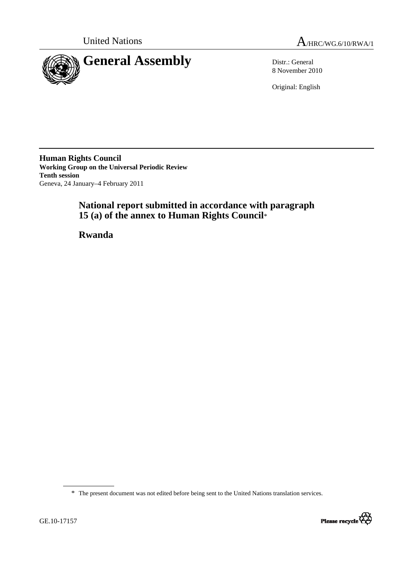



8 November 2010

Original: English

**Human Rights Council Working Group on the Universal Periodic Review Tenth session**  Geneva, 24 January–4 February 2011

# **National report submitted in accordance with paragraph 15 (a) of the annex to Human Rights Council**\*

 **Rwanda** 

\* The present document was not edited before being sent to the United Nations translation services.

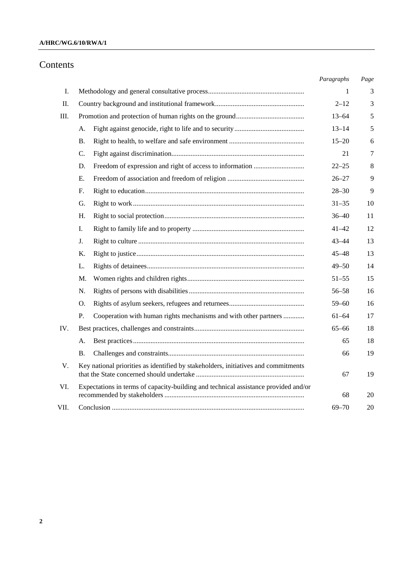## **A/HRC/WG.6/10/RWA/1**

# Contents

| Ι.<br>Π.<br>Ш. | А.<br><b>B.</b>                                                                     | 1<br>$2 - 12$<br>$13 - 64$<br>$13 - 14$<br>$15 - 20$ | 3<br>3<br>5<br>5 |
|----------------|-------------------------------------------------------------------------------------|------------------------------------------------------|------------------|
|                |                                                                                     |                                                      |                  |
|                |                                                                                     |                                                      |                  |
|                |                                                                                     |                                                      |                  |
|                |                                                                                     |                                                      |                  |
|                |                                                                                     |                                                      | 6                |
|                | C.                                                                                  | 21                                                   | 7                |
|                | D.                                                                                  | $22 - 25$                                            | 8                |
|                | Е.                                                                                  | $26 - 27$                                            | 9                |
|                | F.                                                                                  | $28 - 30$                                            | 9                |
|                | G.                                                                                  | $31 - 35$                                            | 10               |
|                | Н.                                                                                  | $36 - 40$                                            | 11               |
|                | Ι.                                                                                  | $41 - 42$                                            | 12               |
|                | J.                                                                                  | $43 - 44$                                            | 13               |
|                | Κ.                                                                                  | $45 - 48$                                            | 13               |
|                | L.                                                                                  | $49 - 50$                                            | 14               |
|                | M.                                                                                  | $51 - 55$                                            | 15               |
|                | N.                                                                                  | $56 - 58$                                            | 16               |
|                | O.                                                                                  | $59 - 60$                                            | 16               |
|                | Cooperation with human rights mechanisms and with other partners<br>Ρ.              | $61 - 64$                                            | 17               |
| IV.            |                                                                                     | $65 - 66$                                            | 18               |
|                | А.                                                                                  | 65                                                   | 18               |
|                | <b>B.</b>                                                                           | 66                                                   | 19               |
| V.             | Key national priorities as identified by stakeholders, initiatives and commitments  | 67                                                   | 19               |
| VI.            | Expectations in terms of capacity-building and technical assistance provided and/or | 68                                                   | 20               |
| VII.           |                                                                                     | $69 - 70$                                            | 20               |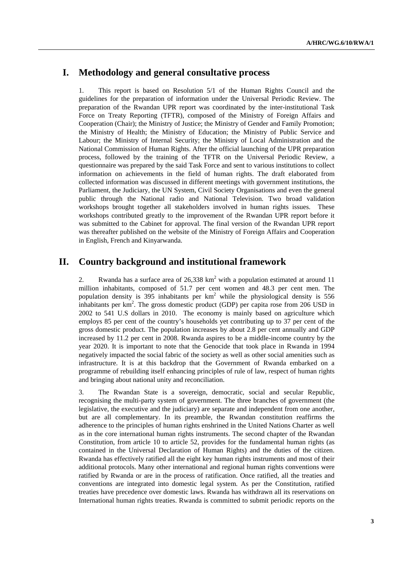# **I. Methodology and general consultative process**

1. This report is based on Resolution 5/1 of the Human Rights Council and the guidelines for the preparation of information under the Universal Periodic Review. The preparation of the Rwandan UPR report was coordinated by the inter-institutional Task Force on Treaty Reporting (TFTR), composed of the Ministry of Foreign Affairs and Cooperation (Chair); the Ministry of Justice; the Ministry of Gender and Family Promotion; the Ministry of Health; the Ministry of Education; the Ministry of Public Service and Labour; the Ministry of Internal Security; the Ministry of Local Administration and the National Commission of Human Rights. After the official launching of the UPR preparation process, followed by the training of the TFTR on the Universal Periodic Review, a questionnaire was prepared by the said Task Force and sent to various institutions to collect information on achievements in the field of human rights. The draft elaborated from collected information was discussed in different meetings with government institutions, the Parliament, the Judiciary, the UN System, Civil Society Organisations and even the general public through the National radio and National Television. Two broad validation workshops brought together all stakeholders involved in human rights issues. These workshops contributed greatly to the improvement of the Rwandan UPR report before it was submitted to the Cabinet for approval. The final version of the Rwandan UPR report was thereafter published on the website of the Ministry of Foreign Affairs and Cooperation in English, French and Kinyarwanda.

# **II. Country background and institutional framework**

2. Rwanda has a surface area of  $26,338 \text{ km}^2$  with a population estimated at around 11 million inhabitants, composed of 51.7 per cent women and 48.3 per cent men. The population density is 395 inhabitants per  $km^2$  while the physiological density is 556 inhabitants per  $km^2$ . The gross domestic product (GDP) per capita rose from 206 USD in 2002 to 541 U.S dollars in 2010. The economy is mainly based on agriculture which employs 85 per cent of the country's households yet contributing up to 37 per cent of the gross domestic product. The population increases by about 2.8 per cent annually and GDP increased by 11.2 per cent in 2008. Rwanda aspires to be a middle-income country by the year 2020. It is important to note that the Genocide that took place in Rwanda in 1994 negatively impacted the social fabric of the society as well as other social amenities such as infrastructure. It is at this backdrop that the Government of Rwanda embarked on a programme of rebuilding itself enhancing principles of rule of law, respect of human rights and bringing about national unity and reconciliation.

3. The Rwandan State is a sovereign, democratic, social and secular Republic, recognising the multi-party system of government. The three branches of government (the legislative, the executive and the judiciary) are separate and independent from one another, but are all complementary. In its preamble, the Rwandan constitution reaffirms the adherence to the principles of human rights enshrined in the United Nations Charter as well as in the core international human rights instruments. The second chapter of the Rwandan Constitution, from article 10 to article 52, provides for the fundamental human rights (as contained in the Universal Declaration of Human Rights) and the duties of the citizen. Rwanda has effectively ratified all the eight key human rights instruments and most of their additional protocols. Many other international and regional human rights conventions were ratified by Rwanda or are in the process of ratification. Once ratified, all the treaties and conventions are integrated into domestic legal system. As per the Constitution, ratified treaties have precedence over domestic laws. Rwanda has withdrawn all its reservations on International human rights treaties. Rwanda is committed to submit periodic reports on the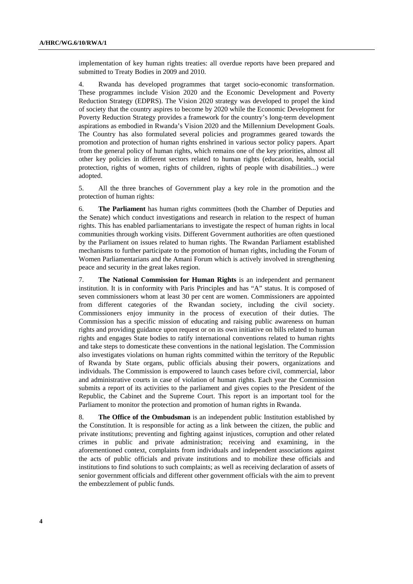implementation of key human rights treaties: all overdue reports have been prepared and submitted to Treaty Bodies in 2009 and 2010.

4. Rwanda has developed programmes that target socio-economic transformation. These programmes include Vision 2020 and the Economic Development and Poverty Reduction Strategy (EDPRS). The Vision 2020 strategy was developed to propel the kind of society that the country aspires to become by 2020 while the Economic Development for Poverty Reduction Strategy provides a framework for the country's long-term development aspirations as embodied in Rwanda's Vision 2020 and the Millennium Development Goals. The Country has also formulated several policies and programmes geared towards the promotion and protection of human rights enshrined in various sector policy papers. Apart from the general policy of human rights, which remains one of the key priorities, almost all other key policies in different sectors related to human rights (education, health, social protection, rights of women, rights of children, rights of people with disabilities...) were adopted.

5. All the three branches of Government play a key role in the promotion and the protection of human rights:

6. **The Parliament** has human rights committees (both the Chamber of Deputies and the Senate) which conduct investigations and research in relation to the respect of human rights. This has enabled parliamentarians to investigate the respect of human rights in local communities through working visits. Different Government authorities are often questioned by the Parliament on issues related to human rights. The Rwandan Parliament established mechanisms to further participate to the promotion of human rights, including the Forum of Women Parliamentarians and the Amani Forum which is actively involved in strengthening peace and security in the great lakes region.

7. **The National Commission for Human Rights** is an independent and permanent institution. It is in conformity with Paris Principles and has "A" status. It is composed of seven commissioners whom at least 30 per cent are women. Commissioners are appointed from different categories of the Rwandan society, including the civil society. Commissioners enjoy immunity in the process of execution of their duties. The Commission has a specific mission of educating and raising public awareness on human rights and providing guidance upon request or on its own initiative on bills related to human rights and engages State bodies to ratify international conventions related to human rights and take steps to domesticate these conventions in the national legislation. The Commission also investigates violations on human rights committed within the territory of the Republic of Rwanda by State organs, public officials abusing their powers, organizations and individuals. The Commission is empowered to launch cases before civil, commercial, labor and administrative courts in case of violation of human rights. Each year the Commission submits a report of its activities to the parliament and gives copies to the President of the Republic, the Cabinet and the Supreme Court. This report is an important tool for the Parliament to monitor the protection and promotion of human rights in Rwanda.

8. **The Office of the Ombudsman** is an independent public Institution established by the Constitution. It is responsible for acting as a link between the citizen, the public and private institutions; preventing and fighting against injustices, corruption and other related crimes in public and private administration; receiving and examining, in the aforementioned context, complaints from individuals and independent associations against the acts of public officials and private institutions and to mobilize these officials and institutions to find solutions to such complaints; as well as receiving declaration of assets of senior government officials and different other government officials with the aim to prevent the embezzlement of public funds.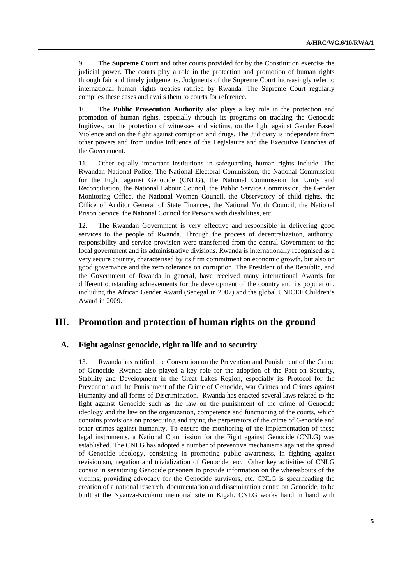9. **The Supreme Court** and other courts provided for by the Constitution exercise the judicial power. The courts play a role in the protection and promotion of human rights through fair and timely judgements. Judgments of the Supreme Court increasingly refer to international human rights treaties ratified by Rwanda. The Supreme Court regularly compiles these cases and avails them to courts for reference.

10. **The Public Prosecution Authority** also plays a key role in the protection and promotion of human rights, especially through its programs on tracking the Genocide fugitives, on the protection of witnesses and victims, on the fight against Gender Based Violence and on the fight against corruption and drugs. The Judiciary is independent from other powers and from undue influence of the Legislature and the Executive Branches of the Government.

11. Other equally important institutions in safeguarding human rights include: The Rwandan National Police, The National Electoral Commission, the National Commission for the Fight against Genocide (CNLG), the National Commission for Unity and Reconciliation, the National Labour Council, the Public Service Commission, the Gender Monitoring Office, the National Women Council, the Observatory of child rights, the Office of Auditor General of State Finances, the National Youth Council, the National Prison Service, the National Council for Persons with disabilities, etc.

12. The Rwandan Government is very effective and responsible in delivering good services to the people of Rwanda. Through the process of decentralization, authority, responsibility and service provision were transferred from the central Government to the local government and its administrative divisions. Rwanda is internationally recognised as a very secure country, characterised by its firm commitment on economic growth, but also on good governance and the zero tolerance on corruption. The President of the Republic, and the Government of Rwanda in general, have received many international Awards for different outstanding achievements for the development of the country and its population, including the African Gender Award (Senegal in 2007) and the global UNICEF Children's Award in 2009.

## **III. Promotion and protection of human rights on the ground**

## **A. Fight against genocide, right to life and to security**

13. Rwanda has ratified the Convention on the Prevention and Punishment of the Crime of Genocide. Rwanda also played a key role for the adoption of the Pact on Security, Stability and Development in the Great Lakes Region, especially its Protocol for the Prevention and the Punishment of the Crime of Genocide, war Crimes and Crimes against Humanity and all forms of Discrimination. Rwanda has enacted several laws related to the fight against Genocide such as the law on the punishment of the crime of Genocide ideology and the law on the organization, competence and functioning of the courts, which contains provisions on prosecuting and trying the perpetrators of the crime of Genocide and other crimes against humanity. To ensure the monitoring of the implementation of these legal instruments, a National Commission for the Fight against Genocide (CNLG) was established. The CNLG has adopted a number of preventive mechanisms against the spread of Genocide ideology, consisting in promoting public awareness, in fighting against revisionism, negation and trivialization of Genocide, etc. Other key activities of CNLG consist in sensitizing Genocide prisoners to provide information on the whereabouts of the victims; providing advocacy for the Genocide survivors, etc. CNLG is spearheading the creation of a national research, documentation and dissemination centre on Genocide, to be built at the Nyanza-Kicukiro memorial site in Kigali. CNLG works hand in hand with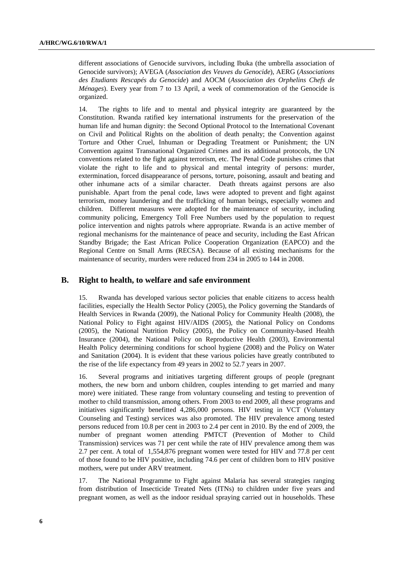different associations of Genocide survivors, including Ibuka (the umbrella association of Genocide survivors); AVEGA (*Association des Veuves du Genocide*), AERG (*Associations des Etudiants Rescapés du Genocide*) and AOCM (*Association des Orphelins Chefs de Ménages*). Every year from 7 to 13 April, a week of commemoration of the Genocide is organized.

14. The rights to life and to mental and physical integrity are guaranteed by the Constitution. Rwanda ratified key international instruments for the preservation of the human life and human dignity: the Second Optional Protocol to the International Covenant on Civil and Political Rights on the abolition of death penalty; the Convention against Torture and Other Cruel, Inhuman or Degrading Treatment or Punishment; the UN Convention against Transnational Organized Crimes and its additional protocols, the UN conventions related to the fight against terrorism, etc. The Penal Code punishes crimes that violate the right to life and to physical and mental integrity of persons: murder, extermination, forced disappearance of persons, torture, poisoning, assault and beating and other inhumane acts of a similar character. Death threats against persons are also punishable. Apart from the penal code, laws were adopted to prevent and fight against terrorism, money laundering and the trafficking of human beings, especially women and children. Different measures were adopted for the maintenance of security, including community policing, Emergency Toll Free Numbers used by the population to request police intervention and nights patrols where appropriate. Rwanda is an active member of regional mechanisms for the maintenance of peace and security, including the East African Standby Brigade; the East African Police Cooperation Organization (EAPCO) and the Regional Centre on Small Arms (RECSA). Because of all existing mechanisms for the maintenance of security, murders were reduced from 234 in 2005 to 144 in 2008.

#### **B. Right to health, to welfare and safe environment**

15. Rwanda has developed various sector policies that enable citizens to access health facilities, especially the Health Sector Policy (2005), the Policy governing the Standards of Health Services in Rwanda (2009), the National Policy for Community Health (2008), the National Policy to Fight against HIV/AIDS (2005), the National Policy on Condoms (2005), the National Nutrition Policy (2005), the Policy on Community-based Health Insurance (2004), the National Policy on Reproductive Health (2003), Environmental Health Policy determining conditions for school hygiene (2008) and the Policy on Water and Sanitation (2004). It is evident that these various policies have greatly contributed to the rise of the life expectancy from 49 years in 2002 to 52.7 years in 2007.

16. Several programs and initiatives targeting different groups of people (pregnant mothers, the new born and unborn children, couples intending to get married and many more) were initiated. These range from voluntary counseling and testing to prevention of mother to child transmission, among others. From 2003 to end 2009, all these programs and initiatives significantly benefitted 4,286,000 persons. HIV testing in VCT (Voluntary Counseling and Testing) services was also promoted. The HIV prevalence among tested persons reduced from 10.8 per cent in 2003 to 2.4 per cent in 2010. By the end of 2009, the number of pregnant women attending PMTCT (Prevention of Mother to Child Transmission) services was 71 per cent while the rate of HIV prevalence among them was 2.7 per cent. A total of 1,554,876 pregnant women were tested for HIV and 77.8 per cent of those found to be HIV positive, including 74.6 per cent of children born to HIV positive mothers, were put under ARV treatment.

17. The National Programme to Fight against Malaria has several strategies ranging from distribution of Insecticide Treated Nets (ITNs) to children under five years and pregnant women, as well as the indoor residual spraying carried out in households. These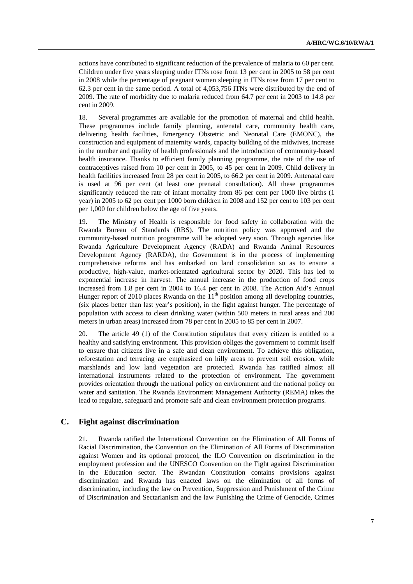actions have contributed to significant reduction of the prevalence of malaria to 60 per cent. Children under five years sleeping under ITNs rose from 13 per cent in 2005 to 58 per cent in 2008 while the percentage of pregnant women sleeping in ITNs rose from 17 per cent to 62.3 per cent in the same period. A total of 4,053,756 ITNs were distributed by the end of 2009. The rate of morbidity due to malaria reduced from 64.7 per cent in 2003 to 14.8 per cent in 2009.

18. Several programmes are available for the promotion of maternal and child health. These programmes include family planning, antenatal care, community health care, delivering health facilities, Emergency Obstetric and Neonatal Care (EMONC), the construction and equipment of maternity wards, capacity building of the midwives, increase in the number and quality of health professionals and the introduction of community-based health insurance. Thanks to efficient family planning programme, the rate of the use of contraceptives raised from 10 per cent in 2005, to 45 per cent in 2009. Child delivery in health facilities increased from 28 per cent in 2005, to 66.2 per cent in 2009. Antenatal care is used at 96 per cent (at least one prenatal consultation). All these programmes significantly reduced the rate of infant mortality from 86 per cent per 1000 live births (1 year) in 2005 to 62 per cent per 1000 born children in 2008 and 152 per cent to 103 per cent per 1,000 for children below the age of five years.

19. The Ministry of Health is responsible for food safety in collaboration with the Rwanda Bureau of Standards (RBS). The nutrition policy was approved and the community-based nutrition programme will be adopted very soon. Through agencies like Rwanda Agriculture Development Agency (RADA) and Rwanda Animal Resources Development Agency (RARDA), the Government is in the process of implementing comprehensive reforms and has embarked on land consolidation so as to ensure a productive, high-value, market-orientated agricultural sector by 2020. This has led to exponential increase in harvest. The annual increase in the production of food crops increased from 1.8 per cent in 2004 to 16.4 per cent in 2008. The Action Aid's Annual Hunger report of 2010 places Rwanda on the  $11<sup>th</sup>$  position among all developing countries, (six places better than last year's position), in the fight against hunger. The percentage of population with access to clean drinking water (within 500 meters in rural areas and 200 meters in urban areas) increased from 78 per cent in 2005 to 85 per cent in 2007.

20. The article 49 (1) of the Constitution stipulates that every citizen is entitled to a healthy and satisfying environment*.* This provision obliges the government to commit itself to ensure that citizens live in a safe and clean environment. To achieve this obligation, reforestation and terracing are emphasized on hilly areas to prevent soil erosion, while marshlands and low land vegetation are protected. Rwanda has ratified almost all international instruments related to the protection of environment. The government provides orientation through the national policy on environment and the national policy on water and sanitation. The Rwanda Environment Management Authority (REMA) takes the lead to regulate, safeguard and promote safe and clean environment protection programs.

#### **C. Fight against discrimination**

21. Rwanda ratified the International Convention on the Elimination of All Forms of Racial Discrimination, the Convention on the Elimination of All Forms of Discrimination against Women and its optional protocol, the ILO Convention on discrimination in the employment profession and the UNESCO Convention on the Fight against Discrimination in the Education sector. The Rwandan Constitution contains provisions against discrimination and Rwanda has enacted laws on the elimination of all forms of discrimination, including the law on Prevention, Suppression and Punishment of the Crime of Discrimination and Sectarianism and the law Punishing the Crime of Genocide, Crimes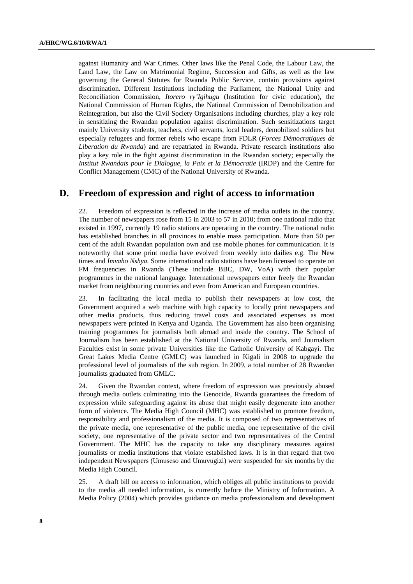against Humanity and War Crimes. Other laws like the Penal Code, the Labour Law, the Land Law, the Law on Matrimonial Regime, Succession and Gifts, as well as the law governing the General Statutes for Rwanda Public Service, contain provisions against discrimination. Different Institutions including the Parliament, the National Unity and Reconciliation Commission, *Itorero ry'Igihugu* (Institution for civic education), the National Commission of Human Rights, the National Commission of Demobilization and Reintegration, but also the Civil Society Organisations including churches, play a key role in sensitizing the Rwandan population against discrimination. Such sensitizations target mainly University students, teachers, civil servants, local leaders, demobilized soldiers but especially refugees and former rebels who escape from FDLR (*Forces Démocratiques de Liberation du Rwanda*) and are repatriated in Rwanda. Private research institutions also play a key role in the fight against discrimination in the Rwandan society; especially the *Institut Rwandais pour le Dialogue, la Paix et la Démocratie* (IRDP) and the Centre for Conflict Management (CMC) of the National University of Rwanda.

## **D. Freedom of expression and right of access to information**

22. Freedom of expression is reflected in the increase of media outlets in the country. The number of newspapers rose from 15 in 2003 to 57 in 2010; from one national radio that existed in 1997, currently 19 radio stations are operating in the country. The national radio has established branches in all provinces to enable mass participation. More than 50 per cent of the adult Rwandan population own and use mobile phones for communication. It is noteworthy that some print media have evolved from weekly into dailies e.g. The New times and *Imvaho Nshya.* Some international radio stations have been licensed to operate on FM frequencies in Rwanda (These include BBC, DW, VoA) with their popular programmes in the national language. International newspapers enter freely the Rwandan market from neighbouring countries and even from American and European countries.

23. In facilitating the local media to publish their newspapers at low cost, the Government acquired a web machine with high capacity to locally print newspapers and other media products, thus reducing travel costs and associated expenses as most newspapers were printed in Kenya and Uganda. The Government has also been organising training programmes for journalists both abroad and inside the country. The School of Journalism has been established at the National University of Rwanda, and Journalism Faculties exist in some private Universities like the Catholic University of Kabgayi. The Great Lakes Media Centre (GMLC) was launched in Kigali in 2008 to upgrade the professional level of journalists of the sub region. In 2009, a total number of 28 Rwandan journalists graduated from GMLC.

24. Given the Rwandan context, where freedom of expression was previously abused through media outlets culminating into the Genocide, Rwanda guarantees the freedom of expression while safeguarding against its abuse that might easily degenerate into another form of violence. The Media High Council (MHC) was established to promote freedom, responsibility and professionalism of the media. It is composed of two representatives of the private media, one representative of the public media, one representative of the civil society, one representative of the private sector and two representatives of the Central Government. The MHC has the capacity to take any disciplinary measures against journalists or media institutions that violate established laws. It is in that regard that two independent Newspapers (Umuseso and Umuvugizi) were suspended for six months by the Media High Council.

25. A draft bill on access to information, which obliges all public institutions to provide to the media all needed information, is currently before the Ministry of Information. A Media Policy (2004) which provides guidance on media professionalism and development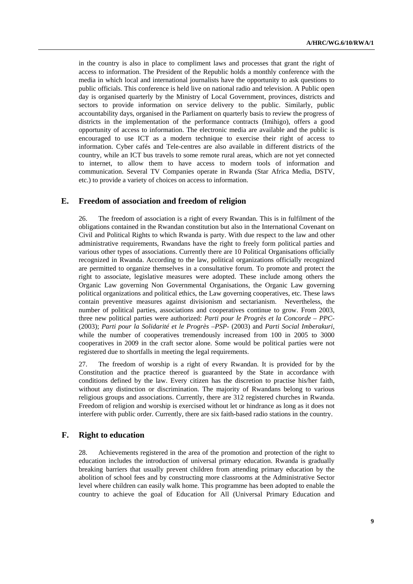in the country is also in place to compliment laws and processes that grant the right of access to information. The President of the Republic holds a monthly conference with the media in which local and international journalists have the opportunity to ask questions to public officials. This conference is held live on national radio and television. A Public open day is organised quarterly by the Ministry of Local Government, provinces, districts and sectors to provide information on service delivery to the public. Similarly, public accountability days, organised in the Parliament on quarterly basis to review the progress of districts in the implementation of the performance contracts (Imihigo), offers a good opportunity of access to information. The electronic media are available and the public is encouraged to use ICT as a modern technique to exercise their right of access to information. Cyber cafés and Tele-centres are also available in different districts of the country, while an ICT bus travels to some remote rural areas, which are not yet connected to internet, to allow them to have access to modern tools of information and communication. Several TV Companies operate in Rwanda (Star Africa Media, DSTV, etc.) to provide a variety of choices on access to information.

#### **E. Freedom of association and freedom of religion**

26. The freedom of association is a right of every Rwandan. This is in fulfilment of the obligations contained in the Rwandan constitution but also in the International Covenant on Civil and Political Rights to which Rwanda is party. With due respect to the law and other administrative requirements, Rwandans have the right to freely form political parties and various other types of associations. Currently there are 10 Political Organisations officially recognized in Rwanda. According to the law, political organizations officially recognized are permitted to organize themselves in a consultative forum. To promote and protect the right to associate, legislative measures were adopted. These include among others the Organic Law governing Non Governmental Organisations, the Organic Law governing political organizations and political ethics, the Law governing cooperatives, etc. These laws contain preventive measures against divisionism and sectarianism. Nevertheless, the number of political parties, associations and cooperatives continue to grow. From 2003, three new political parties were authorized: *Parti pour le Progrès et la Concorde – PPC-* (2003); *Parti pour la Solidarité et le Progrès* –*PSP*- (2003) and *Parti Social Imberakuri*, while the number of cooperatives tremendously increased from 100 in 2005 to 3000 cooperatives in 2009 in the craft sector alone. Some would be political parties were not registered due to shortfalls in meeting the legal requirements.

27. The freedom of worship is a right of every Rwandan. It is provided for by the Constitution and the practice thereof is guaranteed by the State in accordance with conditions defined by the law. Every citizen has the discretion to practise his/her faith, without any distinction or discrimination. The majority of Rwandans belong to various religious groups and associations. Currently, there are 312 registered churches in Rwanda. Freedom of religion and worship is exercised without let or hindrance as long as it does not interfere with public order. Currently, there are six faith-based radio stations in the country.

## **F. Right to education**

28. Achievements registered in the area of the promotion and protection of the right to education includes the introduction of universal primary education. Rwanda is gradually breaking barriers that usually prevent children from attending primary education by the abolition of school fees and by constructing more classrooms at the Administrative Sector level where children can easily walk home. This programme has been adopted to enable the country to achieve the goal of Education for All (Universal Primary Education and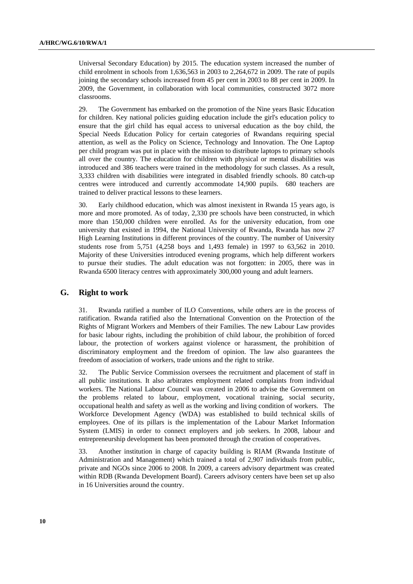Universal Secondary Education) by 2015. The education system increased the number of child enrolment in schools from 1,636,563 in 2003 to 2,264,672 in 2009. The rate of pupils joining the secondary schools increased from 45 per cent in 2003 to 88 per cent in 2009. In 2009, the Government, in collaboration with local communities, constructed 3072 more classrooms.

29. The Government has embarked on the promotion of the Nine years Basic Education for children. Key national policies guiding education include the girl's education policy to ensure that the girl child has equal access to universal education as the boy child, the Special Needs Education Policy for certain categories of Rwandans requiring special attention, as well as the Policy on Science, Technology and Innovation. The One Laptop per child program was put in place with the mission to distribute laptops to primary schools all over the country. The education for children with physical or mental disabilities was introduced and 386 teachers were trained in the methodology for such classes. As a result, 3,333 children with disabilities were integrated in disabled friendly schools. 80 catch-up centres were introduced and currently accommodate 14,900 pupils. 680 teachers are trained to deliver practical lessons to these learners.

30. Early childhood education, which was almost inexistent in Rwanda 15 years ago, is more and more promoted. As of today, 2,330 pre schools have been constructed, in which more than 150,000 children were enrolled. As for the university education, from one university that existed in 1994, the National University of Rwanda, Rwanda has now 27 High Learning Institutions in different provinces of the country. The number of University students rose from 5,751 (4,258 boys and 1,493 female) in 1997 to 63,562 in 2010. Majority of these Universities introduced evening programs, which help different workers to pursue their studies. The adult education was not forgotten: in 2005, there was in Rwanda 6500 literacy centres with approximately 300,000 young and adult learners.

#### **G. Right to work**

31. Rwanda ratified a number of ILO Conventions, while others are in the process of ratification. Rwanda ratified also the International Convention on the Protection of the Rights of Migrant Workers and Members of their Families. The new Labour Law provides for basic labour rights, including the prohibition of child labour, the prohibition of forced labour, the protection of workers against violence or harassment, the prohibition of discriminatory employment and the freedom of opinion. The law also guarantees the freedom of association of workers, trade unions and the right to strike.

32. The Public Service Commission oversees the recruitment and placement of staff in all public institutions. It also arbitrates employment related complaints from individual workers. The National Labour Council was created in 2006 to advise the Government on the problems related to labour, employment, vocational training, social security, occupational health and safety as well as the working and living condition of workers. The Workforce Development Agency (WDA) was established to build technical skills of employees. One of its pillars is the implementation of the Labour Market Information System (LMIS) in order to connect employers and job seekers. In 2008, labour and entrepreneurship development has been promoted through the creation of cooperatives.

33. Another institution in charge of capacity building is RIAM (Rwanda Institute of Administration and Management) which trained a total of 2,907 individuals from public, private and NGOs since 2006 to 2008. In 2009, a careers advisory department was created within RDB (Rwanda Development Board). Careers advisory centers have been set up also in 16 Universities around the country.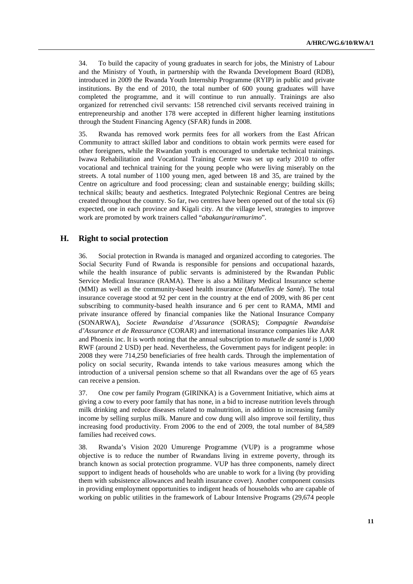34. To build the capacity of young graduates in search for jobs, the Ministry of Labour and the Ministry of Youth, in partnership with the Rwanda Development Board (RDB), introduced in 2009 the Rwanda Youth Internship Programme (RYIP) in public and private institutions. By the end of 2010, the total number of 600 young graduates will have completed the programme, and it will continue to run annually. Trainings are also organized for retrenched civil servants: 158 retrenched civil servants received training in entrepreneurship and another 178 were accepted in different higher learning institutions through the Student Financing Agency (SFAR) funds in 2008.

35. Rwanda has removed work permits fees for all workers from the East African Community to attract skilled labor and conditions to obtain work permits were eased for other foreigners, while the Rwandan youth is encouraged to undertake technical trainings. Iwawa Rehabilitation and Vocational Training Centre was set up early 2010 to offer vocational and technical training for the young people who were living miserably on the streets. A total number of 1100 young men, aged between 18 and 35, are trained by the Centre on agriculture and food processing; clean and sustainable energy; building skills; technical skills; beauty and aesthetics. Integrated Polytechnic Regional Centres are being created throughout the country. So far, two centres have been opened out of the total six (6) expected, one in each province and Kigali city. At the village level, strategies to improve work are promoted by work trainers called "*abakanguriramurimo*".

## **H. Right to social protection**

36. Social protection in Rwanda is managed and organized according to categories. The Social Security Fund of Rwanda is responsible for pensions and occupational hazards, while the health insurance of public servants is administered by the Rwandan Public Service Medical Insurance (RAMA). There is also a Military Medical Insurance scheme (MMI) as well as the community-based health insurance (*Mutuelles de Santé*). The total insurance coverage stood at 92 per cent in the country at the end of 2009, with 86 per cent subscribing to community-based health insurance and 6 per cent to RAMA, MMI and private insurance offered by financial companies like the National Insurance Company (SONARWA), *Societe Rwandaise d'Assurance* (SORAS); *Compagnie Rwandaise d'Assurance et de Reassurance* (CORAR) and international insurance companies like AAR and Phoenix inc. It is worth noting that the annual subscription to *mutuelle de santé* is 1,000 RWF (around 2 USD) per head. Nevertheless, the Government pays for indigent people: in 2008 they were 714,250 beneficiaries of free health cards. Through the implementation of policy on social security, Rwanda intends to take various measures among which the introduction of a universal pension scheme so that all Rwandans over the age of 65 years can receive a pension.

37. One cow per family Program (GIRINKA) is a Government Initiative, which aims at giving a cow to every poor family that has none, in a bid to increase nutrition levels through milk drinking and reduce diseases related to malnutrition, in addition to increasing family income by selling surplus milk. Manure and cow dung will also improve soil fertility, thus increasing food productivity. From 2006 to the end of 2009, the total number of 84,589 families had received cows.

38. Rwanda's Vision 2020 Umurenge Programme (VUP) is a programme whose objective is to reduce the number of Rwandans living in extreme poverty, through its branch known as social protection programme. VUP has three components, namely direct support to indigent heads of households who are unable to work for a living (by providing them with subsistence allowances and health insurance cover). Another component consists in providing employment opportunities to indigent heads of households who are capable of working on public utilities in the framework of Labour Intensive Programs (29,674 people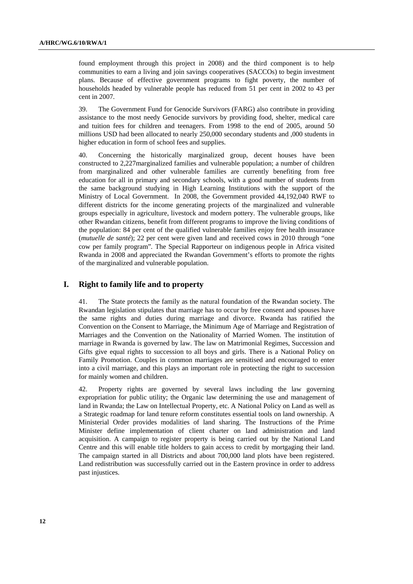found employment through this project in 2008) and the third component is to help communities to earn a living and join savings cooperatives (SACCOs) to begin investment plans. Because of effective government programs to fight poverty, the number of households headed by vulnerable people has reduced from 51 per cent in 2002 to 43 per cent in 2007.

39. The Government Fund for Genocide Survivors (FARG) also contribute in providing assistance to the most needy Genocide survivors by providing food, shelter, medical care and tuition fees for children and teenagers. From 1998 to the end of 2005, around 50 millions USD had been allocated to nearly 250,000 secondary students and ,000 students in higher education in form of school fees and supplies.

40. Concerning the historically marginalized group, decent houses have been constructed to 2,227marginalized families and vulnerable population; a number of children from marginalized and other vulnerable families are currently benefiting from free education for all in primary and secondary schools, with a good number of students from the same background studying in High Learning Institutions with the support of the Ministry of Local Government. In 2008, the Government provided 44,192,040 RWF to different districts for the income generating projects of the marginalized and vulnerable groups especially in agriculture, livestock and modern pottery. The vulnerable groups, like other Rwandan citizens, benefit from different programs to improve the living conditions of the population: 84 per cent of the qualified vulnerable families enjoy free health insurance (*mutuelle de santé*); 22 per cent were given land and received cows in 2010 through "one cow per family program"*.* The Special Rapporteur on indigenous people in Africa visited Rwanda in 2008 and appreciated the Rwandan Government's efforts to promote the rights of the marginalized and vulnerable population.

## **I. Right to family life and to property**

41. The State protects the family as the natural foundation of the Rwandan society. The Rwandan legislation stipulates that marriage has to occur by free consent and spouses have the same rights and duties during marriage and divorce. Rwanda has ratified the Convention on the Consent to Marriage, the Minimum Age of Marriage and Registration of Marriages and the Convention on the Nationality of Married Women. The institution of marriage in Rwanda is governed by law. The law on Matrimonial Regimes, Succession and Gifts give equal rights to succession to all boys and girls. There is a National Policy on Family Promotion. Couples in common marriages are sensitised and encouraged to enter into a civil marriage, and this plays an important role in protecting the right to succession for mainly women and children.

42. Property rights are governed by several laws including the law governing expropriation for public utility; the Organic law determining the use and management of land in Rwanda; the Law on Intellectual Property, etc. A National Policy on Land as well as a Strategic roadmap for land tenure reform constitutes essential tools on land ownership. A Ministerial Order provides modalities of land sharing. The Instructions of the Prime Minister define implementation of client charter on land administration and land acquisition. A campaign to register property is being carried out by the National Land Centre and this will enable title holders to gain access to credit by mortgaging their land. The campaign started in all Districts and about 700,000 land plots have been registered. Land redistribution was successfully carried out in the Eastern province in order to address past injustices.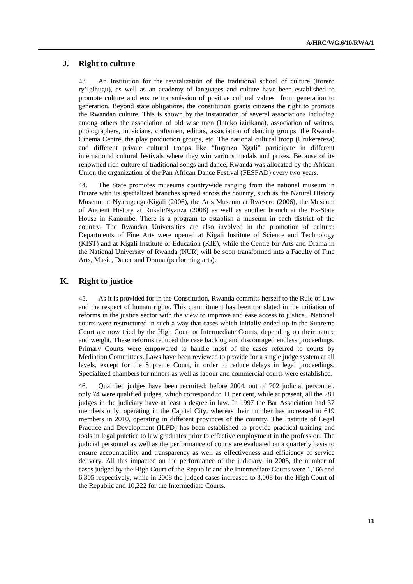## **J. Right to culture**

43. An Institution for the revitalization of the traditional school of culture (Itorero ry'Igihugu), as well as an academy of languages and culture have been established to promote culture and ensure transmission of positive cultural values from generation to generation. Beyond state obligations, the constitution grants citizens the right to promote the Rwandan culture. This is shown by the instauration of several associations including among others the association of old wise men (Inteko izirikana), association of writers, photographers, musicians, craftsmen, editors, association of dancing groups, the Rwanda Cinema Centre, the play production groups, etc. The national cultural troop (Urukerereza) and different private cultural troops like "Inganzo Ngali" participate in different international cultural festivals where they win various medals and prizes. Because of its renowned rich culture of traditional songs and dance, Rwanda was allocated by the African Union the organization of the Pan African Dance Festival (FESPAD) every two years.

44. The State promotes museums countrywide ranging from the national museum in Butare with its specialized branches spread across the country, such as the Natural History Museum at Nyarugenge/Kigali (2006), the Arts Museum at Rwesero (2006), the Museum of Ancient History at Rukali/Nyanza (2008) as well as another branch at the Ex-State House in Kanombe. There is a program to establish a museum in each district of the country. The Rwandan Universities are also involved in the promotion of culture: Departments of Fine Arts were opened at Kigali Institute of Science and Technology (KIST) and at Kigali Institute of Education (KIE), while the Centre for Arts and Drama in the National University of Rwanda (NUR) will be soon transformed into a Faculty of Fine Arts, Music, Dance and Drama (performing arts).

## **K. Right to justice**

45. As it is provided for in the Constitution, Rwanda commits herself to the Rule of Law and the respect of human rights. This commitment has been translated in the initiation of reforms in the justice sector with the view to improve and ease access to justice. National courts were restructured in such a way that cases which initially ended up in the Supreme Court are now tried by the High Court or Intermediate Courts, depending on their nature and weight. These reforms reduced the case backlog and discouraged endless proceedings. Primary Courts were empowered to handle most of the cases referred to courts by Mediation Committees. Laws have been reviewed to provide for a single judge system at all levels, except for the Supreme Court, in order to reduce delays in legal proceedings. Specialized chambers for minors as well as labour and commercial courts were established.

46. Qualified judges have been recruited: before 2004, out of 702 judicial personnel, only 74 were qualified judges, which correspond to 11 per cent, while at present, all the 281 judges in the judiciary have at least a degree in law. In 1997 the Bar Association had 37 members only, operating in the Capital City, whereas their number has increased to 619 members in 2010, operating in different provinces of the country. The Institute of Legal Practice and Development (ILPD) has been established to provide practical training and tools in legal practice to law graduates prior to effective employment in the profession. The judicial personnel as well as the performance of courts are evaluated on a quarterly basis to ensure accountability and transparency as well as effectiveness and efficiency of service delivery. All this impacted on the performance of the judiciary: in 2005, the number of cases judged by the High Court of the Republic and the Intermediate Courts were 1,166 and 6,305 respectively, while in 2008 the judged cases increased to 3,008 for the High Court of the Republic and 10,222 for the Intermediate Courts.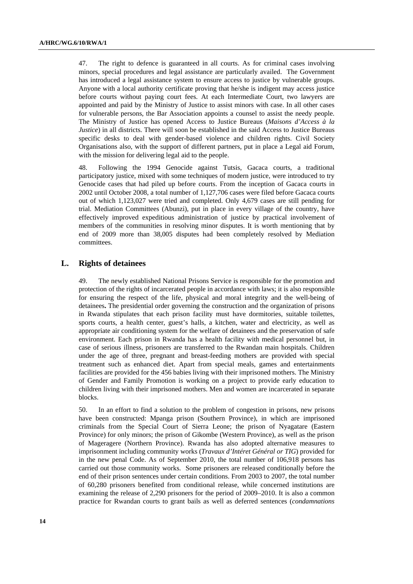47. The right to defence is guaranteed in all courts. As for criminal cases involving minors, special procedures and legal assistance are particularly availed. The Government has introduced a legal assistance system to ensure access to justice by vulnerable groups. Anyone with a local authority certificate proving that he/she is indigent may access justice before courts without paying court fees. At each Intermediate Court, two lawyers are appointed and paid by the Ministry of Justice to assist minors with case. In all other cases for vulnerable persons, the Bar Association appoints a counsel to assist the needy people. The Ministry of Justice has opened Access to Justice Bureaus (*Maisons d'Access à la Justice*) in all districts. There will soon be established in the said Access to Justice Bureaus specific desks to deal with gender-based violence and children rights. Civil Society Organisations also, with the support of different partners, put in place a Legal aid Forum, with the mission for delivering legal aid to the people.

48. Following the 1994 Genocide against Tutsis, Gacaca courts, a traditional participatory justice, mixed with some techniques of modern justice, were introduced to try Genocide cases that had piled up before courts. From the inception of Gacaca courts in 2002 until October 2008, a total number of 1,127,706 cases were filed before Gacaca courts out of which 1,123,027 were tried and completed. Only 4,679 cases are still pending for trial. Mediation Committees (Abunzi), put in place in every village of the country, have effectively improved expeditious administration of justice by practical involvement of members of the communities in resolving minor disputes. It is worth mentioning that by end of 2009 more than 38,005 disputes had been completely resolved by Mediation committees.

#### **L. Rights of detainees**

49. The newly established National Prisons Service is responsible for the promotion and protection of the rights of incarcerated people in accordance with laws; it is also responsible for ensuring the respect of the life, physical and moral integrity and the well-being of detainees**.** The presidential order governing the construction and the organization of prisons in Rwanda stipulates that each prison facility must have dormitories, suitable toilettes, sports courts, a health center, guest's halls, a kitchen, water and electricity, as well as appropriate air conditioning system for the welfare of detainees and the preservation of safe environment. Each prison in Rwanda has a health facility with medical personnel but, in case of serious illness, prisoners are transferred to the Rwandan main hospitals. Children under the age of three, pregnant and breast-feeding mothers are provided with special treatment such as enhanced diet. Apart from special meals, games and entertainments facilities are provided for the 456 babies living with their imprisoned mothers. The Ministry of Gender and Family Promotion is working on a project to provide early education to children living with their imprisoned mothers. Men and women are incarcerated in separate blocks.

50. In an effort to find a solution to the problem of congestion in prisons, new prisons have been constructed: Mpanga prison (Southern Province), in which are imprisoned criminals from the Special Court of Sierra Leone; the prison of Nyagatare (Eastern Province) for only minors; the prison of Gikombe (Western Province), as well as the prison of Mageragere (Northern Province). Rwanda has also adopted alternative measures to imprisonment including community works (*Travaux d'Intéret Général or TIG*) provided for in the new penal Code. As of September 2010, the total number of 106,918 persons has carried out those community works. Some prisoners are released conditionally before the end of their prison sentences under certain conditions. From 2003 to 2007, the total number of 60,280 prisoners benefited from conditional release, while concerned institutions are examining the release of 2,290 prisoners for the period of 2009–2010. It is also a common practice for Rwandan courts to grant bails as well as deferred sentences (*condamnations*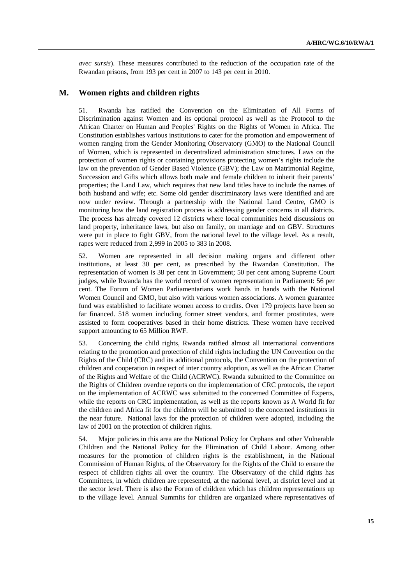*avec sursis*). These measures contributed to the reduction of the occupation rate of the Rwandan prisons, from 193 per cent in 2007 to 143 per cent in 2010.

#### **M. Women rights and children rights**

51. Rwanda has ratified the Convention on the Elimination of All Forms of Discrimination against Women and its optional protocol as well as the Protocol to the African Charter on Human and Peoples' Rights on the Rights of Women in Africa. The Constitution establishes various institutions to cater for the promotion and empowerment of women ranging from the Gender Monitoring Observatory (GMO) to the National Council of Women, which is represented in decentralized administration structures. Laws on the protection of women rights or containing provisions protecting women's rights include the law on the prevention of Gender Based Violence (GBV); the Law on Matrimonial Regime, Succession and Gifts which allows both male and female children to inherit their parents' properties; the Land Law, which requires that new land titles have to include the names of both husband and wife; etc. Some old gender discriminatory laws were identified and are now under review. Through a partnership with the National Land Centre, GMO is monitoring how the land registration process is addressing gender concerns in all districts. The process has already covered 12 districts where local communities held discussions on land property, inheritance laws, but also on family, on marriage and on GBV. Structures were put in place to fight GBV, from the national level to the village level. As a result, rapes were reduced from 2,999 in 2005 to 383 in 2008.

52. Women are represented in all decision making organs and different other institutions, at least 30 per cent, as prescribed by the Rwandan Constitution. The representation of women is 38 per cent in Government; 50 per cent among Supreme Court judges, while Rwanda has the world record of women representation in Parliament: 56 per cent. The Forum of Women Parliamentarians work hands in hands with the National Women Council and GMO, but also with various women associations. A women guarantee fund was established to facilitate women access to credits. Over 179 projects have been so far financed. 518 women including former street vendors, and former prostitutes, were assisted to form cooperatives based in their home districts. These women have received support amounting to 65 Million RWF.

53. Concerning the child rights, Rwanda ratified almost all international conventions relating to the promotion and protection of child rights including the UN Convention on the Rights of the Child (CRC) and its additional protocols, the Convention on the protection of children and cooperation in respect of inter country adoption, as well as the African Charter of the Rights and Welfare of the Child (ACRWC). Rwanda submitted to the Committee on the Rights of Children overdue reports on the implementation of CRC protocols, the report on the implementation of ACRWC was submitted to the concerned Committee of Experts, while the reports on CRC implementation, as well as the reports known as A World fit for the children and Africa fit for the children will be submitted to the concerned institutions in the near future. National laws for the protection of children were adopted, including the law of 2001 on the protection of children rights.

54. Major policies in this area are the National Policy for Orphans and other Vulnerable Children and the National Policy for the Elimination of Child Labour. Among other measures for the promotion of children rights is the establishment, in the National Commission of Human Rights, of the Observatory for the Rights of the Child to ensure the respect of children rights all over the country. The Observatory of the child rights has Committees, in which children are represented, at the national level, at district level and at the sector level. There is also the Forum of children which has children representations up to the village level. Annual Summits for children are organized where representatives of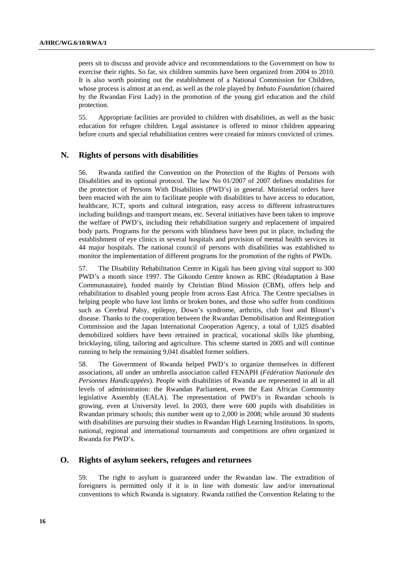peers sit to discuss and provide advice and recommendations to the Government on how to exercise their rights. So far, six children summits have been organized from 2004 to 2010. It is also worth pointing out the establishment of a National Commission for Children, whose process is almost at an end, as well as the role played by *Imbuto Foundation* (chaired by the Rwandan First Lady) in the promotion of the young girl education and the child protection.

55. Appropriate facilities are provided to children with disabilities, as well as the basic education for refugee children. Legal assistance is offered to minor children appearing before courts and special rehabilitation centres were created for minors convicted of crimes.

#### **N. Rights of persons with disabilities**

56. Rwanda ratified the Convention on the Protection of the Rights of Persons with Disabilities and its optional protocol. The law No 01/2007 of 2007 defines modalities for the protection of Persons With Disabilities (PWD's) in general. Ministerial orders have been enacted with the aim to facilitate people with disabilities to have access to education, healthcare, ICT, sports and cultural integration, easy access to different infrastructures including buildings and transport means, etc. Several initiatives have been taken to improve the welfare of PWD's, including their rehabilitation surgery and replacement of impaired body parts. Programs for the persons with blindness have been put in place, including the establishment of eye clinics in several hospitals and provision of mental health services in 44 major hospitals. The national council of persons with disabilities was established to monitor the implementation of different programs for the promotion of the rights of PWDs.

57. The Disability Rehabilitation Centre in Kigali has been giving vital support to 300 PWD's a month since 1997. The Gikondo Centre known as RBC (Réadaptation à Base Communautaire), funded mainly by Christian Blind Mission (CBM), offers help and rehabilitation to disabled young people from across East Africa. The Centre specialises in helping people who have lost limbs or broken bones, and those who suffer from conditions such as Cerebral Palsy, epilepsy, Down's syndrome, arthritis, club foot and Blount's disease. Thanks to the cooperation between the Rwandan Demobilisation and Reintegration Commission and the Japan International Cooperation Agency, a total of 1,025 disabled demobilized soldiers have been retrained in practical, vocational skills like plumbing, bricklaying, tiling, tailoring and agriculture. This scheme started in 2005 and will continue running to help the remaining 9,041 disabled former soldiers.

58. The Government of Rwanda helped PWD's to organize themselves in different associations, all under an umbrella association called FENAPH (*Fédération Nationale des Personnes Handicappées*). People with disabilities of Rwanda are represented in all in all levels of administration: the Rwandan Parliament, even the East African Community legislative Assembly (EALA). The representation of PWD's in Rwandan schools is growing, even at University level. In 2003, there were 600 pupils with disabilities in Rwandan primary schools; this number went up to 2,000 in 2008; while around 30 students with disabilities are pursuing their studies in Rwandan High Learning Institutions. In sports, national, regional and international tournaments and competitions are often organized in Rwanda for PWD's.

## **O. Rights of asylum seekers, refugees and returnees**

59. The right to asylum is guaranteed under the Rwandan law. The extradition of foreigners is permitted only if it is in line with domestic law and/or international conventions to which Rwanda is signatory. Rwanda ratified the Convention Relating to the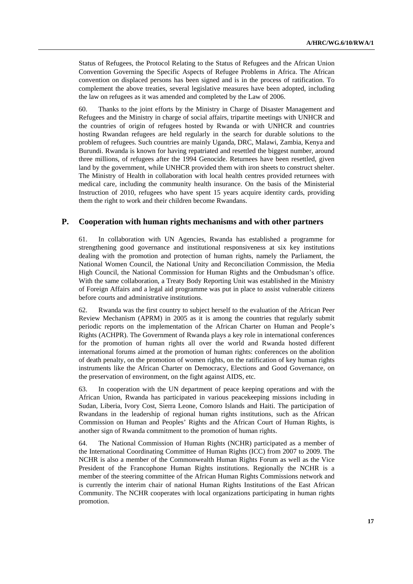Status of Refugees, the Protocol Relating to the Status of Refugees and the African Union Convention Governing the Specific Aspects of Refugee Problems in Africa. The African convention on displaced persons has been signed and is in the process of ratification. To complement the above treaties, several legislative measures have been adopted, including the law on refugees as it was amended and completed by the Law of 2006.

60. Thanks to the joint efforts by the Ministry in Charge of Disaster Management and Refugees and the Ministry in charge of social affairs, tripartite meetings with UNHCR and the countries of origin of refugees hosted by Rwanda or with UNHCR and countries hosting Rwandan refugees are held regularly in the search for durable solutions to the problem of refugees. Such countries are mainly Uganda, DRC, Malawi, Zambia, Kenya and Burundi. Rwanda is known for having repatriated and resettled the biggest number, around three millions, of refugees after the 1994 Genocide. Returnees have been resettled, given land by the government, while UNHCR provided them with iron sheets to construct shelter. The Ministry of Health in collaboration with local health centres provided returnees with medical care, including the community health insurance. On the basis of the Ministerial Instruction of 2010, refugees who have spent 15 years acquire identity cards, providing them the right to work and their children become Rwandans.

#### **P. Cooperation with human rights mechanisms and with other partners**

61. In collaboration with UN Agencies, Rwanda has established a programme for strengthening good governance and institutional responsiveness at six key institutions dealing with the promotion and protection of human rights, namely the Parliament, the National Women Council, the National Unity and Reconciliation Commission, the Media High Council, the National Commission for Human Rights and the Ombudsman's office. With the same collaboration, a Treaty Body Reporting Unit was established in the Ministry of Foreign Affairs and a legal aid programme was put in place to assist vulnerable citizens before courts and administrative institutions.

62. Rwanda was the first country to subject herself to the evaluation of the African Peer Review Mechanism (APRM) in 2005 as it is among the countries that regularly submit periodic reports on the implementation of the African Charter on Human and People's Rights (ACHPR). The Government of Rwanda plays a key role in international conferences for the promotion of human rights all over the world and Rwanda hosted different international forums aimed at the promotion of human rights: conferences on the abolition of death penalty, on the promotion of women rights, on the ratification of key human rights instruments like the African Charter on Democracy, Elections and Good Governance, on the preservation of environment, on the fight against AIDS, etc.

63. In cooperation with the UN department of peace keeping operations and with the African Union, Rwanda has participated in various peacekeeping missions including in Sudan, Liberia, Ivory Cost, Sierra Leone, Comoro Islands and Haiti. The participation of Rwandans in the leadership of regional human rights institutions, such as the African Commission on Human and Peoples' Rights and the African Court of Human Rights, is another sign of Rwanda commitment to the promotion of human rights.

64. The National Commission of Human Rights (NCHR) participated as a member of the International Coordinating Committee of Human Rights (ICC) from 2007 to 2009. The NCHR is also a member of the Commonwealth Human Rights Forum as well as the Vice President of the Francophone Human Rights institutions. Regionally the NCHR is a member of the steering committee of the African Human Rights Commissions network and is currently the interim chair of national Human Rights Institutions of the East African Community. The NCHR cooperates with local organizations participating in human rights promotion.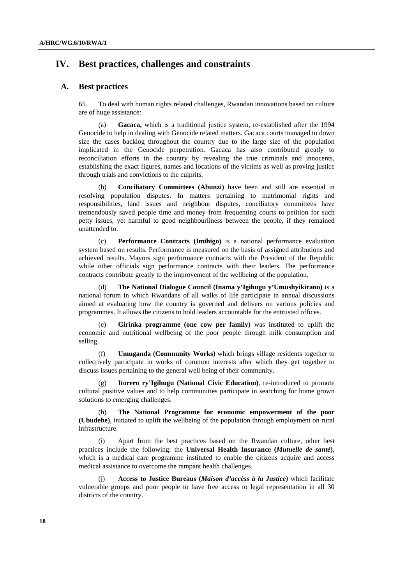# **IV. Best practices, challenges and constraints**

## **A. Best practices**

65. To deal with human rights related challenges, Rwandan innovations based on culture are of huge assistance:

(a) **Gacaca,** which is a traditional justice system, re-established after the 1994 Genocide to help in dealing with Genocide related matters. Gacaca courts managed to down size the cases backlog throughout the country due to the large size of the population implicated in the Genocide perpetration. Gacaca has also contributed greatly to reconciliation efforts in the country by revealing the true criminals and innocents, establishing the exact figures, names and locations of the victims as well as proving justice through trials and convictions to the culprits.

(b) **Conciliatory Committees (Abunzi)** have been and still are essential in resolving population disputes. In matters pertaining to matrimonial rights and responsibilities, land issues and neighbour disputes, conciliatory committees have tremendously saved people time and money from frequenting courts to petition for such petty issues, yet harmful to good neighbourliness between the people, if they remained unattended to.

(c) **Performance Contracts (Imihigo)** is a national performance evaluation system based on results. Performance is measured on the basis of assigned attributions and achieved results. Mayors sign performance contracts with the President of the Republic while other officials sign performance contracts with their leaders. The performance contracts contribute greatly to the improvement of the wellbeing of the population.

(d) **The National Dialogue Council (Inama y'Igihugu y'Umushyikirano)** is a national forum in which Rwandans of all walks of life participate in annual discussions aimed at evaluating how the country is governed and delivers on various policies and programmes. It allows the citizens to hold leaders accountable for the entrusted offices.

**Girinka programme (one cow per family)** was instituted to uplift the economic and nutritional wellbeing of the poor people through milk consumption and selling.

(f) **Umuganda (Community Works)** which brings village residents together to collectively participate in works of common interests after which they get together to discuss issues pertaining to the general well being of their community.

(g) **Itorero ry'Igihugu (National Civic Education)**, re-introduced to promote cultural positive values and to help communities participate in searching for home grown solutions to emerging challenges.

(h) **The National Programme for economic empowerment of the poor (Ubudehe)**, initiated to uplift the wellbeing of the population through employment on rural infrastructure.

(i) Apart from the best practices based on the Rwandan culture, other best practices include the following: the **Universal Health Insurance (***Mutuelle de santé***)**, which is a medical care programme instituted to enable the citizens acquire and access medical assistance to overcome the rampant health challenges.

(j) **Access to Justice Bureaus (***Maison d'accèss à la Justice***)** which facilitate vulnerable groups and poor people to have free access to legal representation in all 30 districts of the country.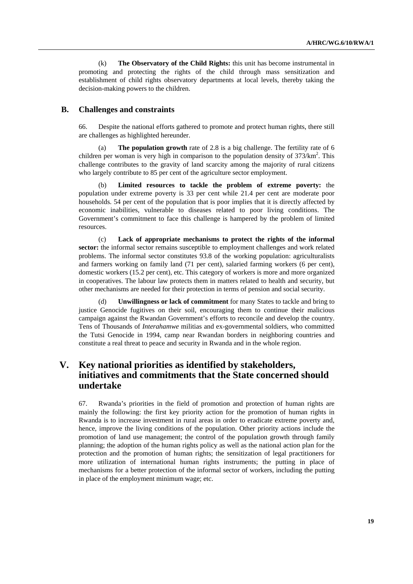(k) **The Observatory of the Child Rights:** this unit has become instrumental in promoting and protecting the rights of the child through mass sensitization and establishment of child rights observatory departments at local levels, thereby taking the decision-making powers to the children.

## **B. Challenges and constraints**

66. Despite the national efforts gathered to promote and protect human rights, there still are challenges as highlighted hereunder.

(a) **The population growth** rate of 2.8 is a big challenge. The fertility rate of 6 children per woman is very high in comparison to the population density of  $373/\text{km}^2$ . This challenge contributes to the gravity of land scarcity among the majority of rural citizens who largely contribute to 85 per cent of the agriculture sector employment.

(b) **Limited resources to tackle the problem of extreme poverty:** the population under extreme poverty is 33 per cent while 21.4 per cent are moderate poor households. 54 per cent of the population that is poor implies that it is directly affected by economic inabilities, vulnerable to diseases related to poor living conditions. The Government's commitment to face this challenge is hampered by the problem of limited resources.

(c) **Lack of appropriate mechanisms to protect the rights of the informal sector:** the informal sector remains susceptible to employment challenges and work related problems. The informal sector constitutes 93.8 of the working population: agriculturalists and farmers working on family land (71 per cent), salaried farming workers (6 per cent), domestic workers (15.2 per cent), etc. This category of workers is more and more organized in cooperatives. The labour law protects them in matters related to health and security, but other mechanisms are needed for their protection in terms of pension and social security.

(d) **Unwillingness or lack of commitment** for many States to tackle and bring to justice Genocide fugitives on their soil, encouraging them to continue their malicious campaign against the Rwandan Government's efforts to reconcile and develop the country. Tens of Thousands of *Interahamwe* militias and ex-governmental soldiers, who committed the Tutsi Genocide in 1994, camp near Rwandan borders in neighboring countries and constitute a real threat to peace and security in Rwanda and in the whole region.

# **V. Key national priorities as identified by stakeholders, initiatives and commitments that the State concerned should undertake**

67. Rwanda's priorities in the field of promotion and protection of human rights are mainly the following: the first key priority action for the promotion of human rights in Rwanda is to increase investment in rural areas in order to eradicate extreme poverty and, hence, improve the living conditions of the population. Other priority actions include the promotion of land use management; the control of the population growth through family planning; the adoption of the human rights policy as well as the national action plan for the protection and the promotion of human rights; the sensitization of legal practitioners for more utilization of international human rights instruments; the putting in place of mechanisms for a better protection of the informal sector of workers, including the putting in place of the employment minimum wage; etc.